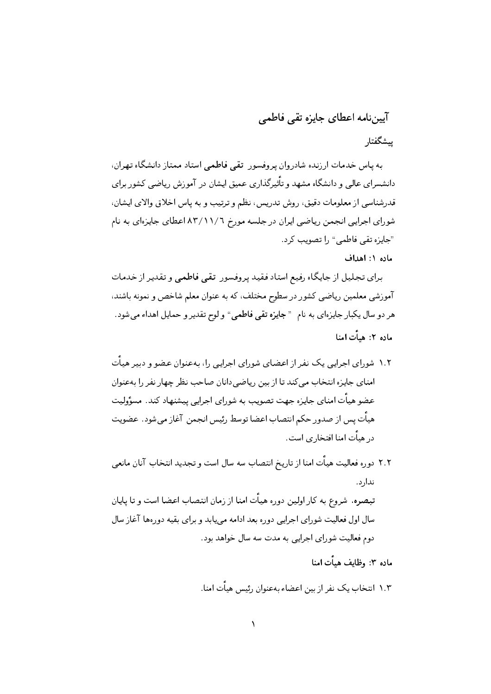## آییننامه اعطای جایزه تقی فاطمی

## ىىشگفتا،

به پاس خدمات ارزنده شادروان پروفسور تقبی **فاطم**ی استاد ممتاز دانشگاه تهران، دانشسرای عالی و دانشگاه مشهد و تأثیرگذاری عمیق ایشان در آموزش ریاضیی کشور برای قدرشناسی از معلومات دقیق، روش تدریس، نظم و ترتیب و به یاس اخلاق والای ایشان، شورای اجرایی انجمن ریاضی ایران در جلسه مورخ ۸۳/۱۱/1 اعطای جایزهای به نام "جایزہ تقی فاطمی" را تصویب کرد.

ماده ١: اهداف

برای تجلیل از جایگاه رفیع استاد فقید پروفسور تقی فاطمی و تقدیر از خدمات آموزشی معلمین ریاضی کشور در سطوح مختلف، که به عنوان معلم شاخص و نمونه باشند، هر دو سال یکبار جایزهای به نام " **جایزه تقی فاطمی**" و لوح تقدیر و حمایل اهداء می شود. ماده ۲: هيأت امنا

- ۱.۲ شورای اجرایی یک نفر از اعضای شورای اجرایی را، بهعنوان عضو و دبیر هیأت امنای جایزه انتخاب می کند تا از بین ریاضی دانان صاحب نظر چهار نفر را بهعنوان عضو هیأت امنای جایزه جهت تصویب به شورای اجرایی پیشنهاد کند. مسؤولیت هيأت يس از صدور حكم انتصاب اعضا توسط رئيس انجمن آغاز مي شود. عضويت در هیات امنا افتخاری است.
- ٢.٢ دوره فعاليت هيأت امنا از تاريخ انتصاب سه سال است و تجديد انتخاب آنان مانعي ندار د. تبصره. شروع به کار اولین دوره هیأت امنا از زمان انتصاب اعضا است و تا پایان سال اول فعالیت شورای اجرایبی دوره بعد ادامه می پابد و برای بقیه دورهها آغاز سال دوم فعالیت شورای اجرایی به مدت سه سال خواهد بود.

ماده ۳: وظایف هیأت امنا

۱.۳ انتخاب یک نفر از بین اعضاء بهعنوان رئیس هیأت امنا.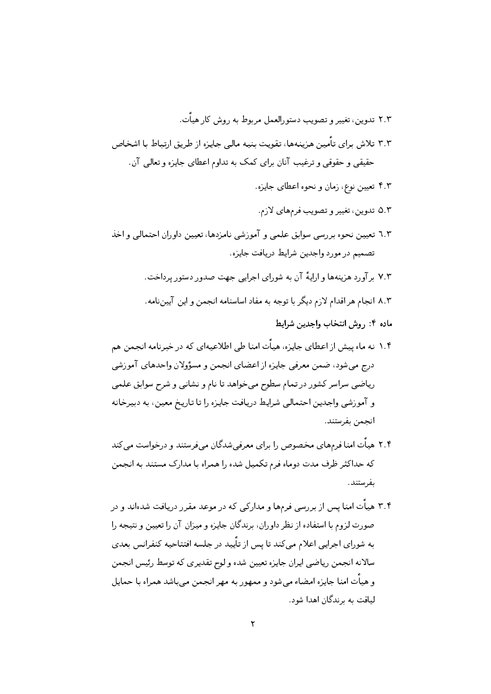- ٢.٣ تدوين، تغيير و تصويب دستورالعمل مربوط به روش كار هيأت.
- ٣.٣ تلاش براي تأمين هزينهها، تقويت بنيه مالي جايزه از طريق ارتباط با اشخاص حقیقی و حقوقی و ترغیب آنان برای کمک به تداوم اعطای جایزه و تعالی آن.
	- ۴.۳ تعیین نوع، زمان و نحوه اعطای جایزه.
	- ۵.۳ تدوین، تغییر و تصویب فرمهای لازم.
- ٦.٣ تعيين نحوه بر رسي سوابق علمي و آموزشي نامزدها، تعيين داوران احتمالي و اخذ تصميم در مورد واجدين شرايط دريافت جايزه.
	- ۷.۳ برآورد هزینهها وارایهٔ آن به شورای اجرایی جهت صدور دستور پرداخت.
	- ٨.٢ انجام هر اقدام لازم ديگر با توجه به مفاد اساسنامه انجمن و اين آيين،نامه.
		- ماده ۴: روش انتخاب واجدین شرایط
- ۱.۴ نه ماه پیش از اعطای جایزه، هیأت امنا طی اطلاعیهای که در خبرنامه انجمن هم درج می شود، ضمین معرفی جایزه از اعضای انجمن و مسؤولان واحدهای آموزشی ریاضی سراسر کشور در تمام سطوح می خواهد تا نام و نشانبی و شرح سوابق علمی و آموزشی واجدین احتمالی شرایط دریافت جایزه را تا تاریخ معین، به دبیرخانه انجمن بفرستند.
- ۲.۴ هیأت امنا فرمهای مخصوص را برای معرفی شدگان می فرستند و درخواست می کند که حداکثر ظرف مدت دوماه فرم تکمیل شده را همراه با مدارک مستند به انجمن ىفرستند.
- ۳.۴ هیأت امنا پس از بر رسی فرمها و مدارکی که در موعد مقرر دریافت شدهاند و در صورت لزوم با استفاده از نظر داوران، برندگان جایزه و میزان آن را تعیین و نتیجه را به شورای اجرایی اعلام می کند تا پس از تأیید در جلسه افتتاحیه کنفرانس بعدی سالانه انجمن رياضي ايران جايزه تعيين شده و لوح تقديري كه توسط رئيس انجمن و هيأت امنا جايزه امضاء مي شود و ممهور به مهر انجمن مي باشد همراه با حمايل لباقت به برندگان اهدا شود.